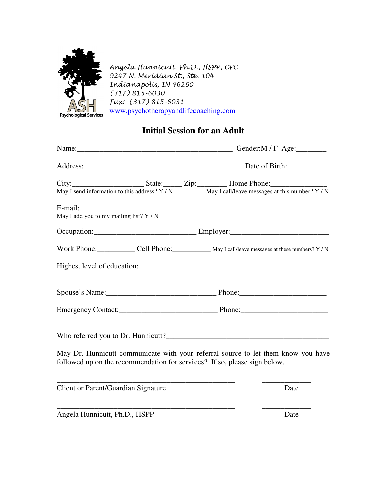

Angela Hunnicutt, Ph.D., HSPP, CPC 9247 N. Meridian St., Ste. 104 Indianapolis, IN 46260 (317) 815-6030 Fax: (317) 815-6031 www.psychotherapyandlifecoaching.com

## **Initial Session for an Adult**

|                                           |  | City: State: Zip: Home Phone:<br>May I send information to this address? $Y / N$ May I call/leave messages at this number? $Y / N$                             |  |
|-------------------------------------------|--|----------------------------------------------------------------------------------------------------------------------------------------------------------------|--|
| May I add you to my mailing list? $Y / N$ |  |                                                                                                                                                                |  |
|                                           |  |                                                                                                                                                                |  |
|                                           |  | Work Phone: ________________ Cell Phone: ______________ May I call/leave messages at these numbers? Y/N                                                        |  |
|                                           |  |                                                                                                                                                                |  |
|                                           |  |                                                                                                                                                                |  |
|                                           |  |                                                                                                                                                                |  |
|                                           |  |                                                                                                                                                                |  |
|                                           |  | May Dr. Hunnicutt communicate with your referral source to let them know you have<br>followed up on the recommendation for services? If so, please sign below. |  |
| Client or Parent/Guardian Signature       |  | Date                                                                                                                                                           |  |
| Angela Hunnicutt, Ph.D., HSPP             |  | Date                                                                                                                                                           |  |